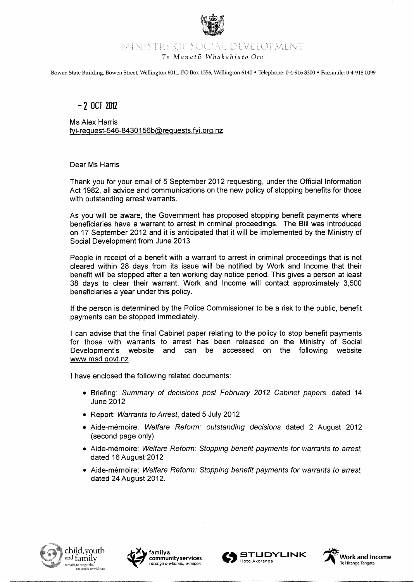

## MINISTRY OF SOCIAL DEVELOPMENT

### *Te Manatii Whakahiato Ora*

Bowen State Building, Bowen Street, Wellington 6011, PO Box 1556, Wellington 6140 • Telephone: 0-4-916 3300 • Facsimile: 0-4-918 0099

## $-2$  OCT 2012

Ms Alex Harris  $fvi-request-546-8430156b@requests.fvi.org.nz$ 

### Dear Ms Harris

Thank you for your email of 5 September 2012 requesting, under the Official Information Act 1982, all advice and communications on the new policy of stopping benefits for those with outstanding arrest warrants.

As you will be aware, the Government has proposed stopping benefit payments where beneficiaries have a warrant to arrest in criminal proceedings. The Bill was introduced on 17 September 2012 and it is anticipated that it will be implemented by the Ministry of Social Development from June 2013.

People in receipt of a benefit with a warrant to arrest in criminal proceedings that is not cleared within 28 days from its issue will be notified by Work and Income that their benefit will be stopped after a ten working day notice period. This gives a person at least 38 days to clear their warrant. Work and Income will contact approximately 3,500 beneficiaries a year under this policy.

If the person is determined by the Police Commissioner to be a risk to the public, benefit payments can be stopped immediately.

I can advise that the final Cabinet paper relating to the policy to stop benefit payments for those with warrants to arrest has been released on the Ministry of Social Development's website and can be accessed on the following website www.msd.govt.nz.

I have enclosed the following related documents:

- Briefing: Summary of decisions post February 2012 Cabinet papers, dated 14 June 2012
- Report: Warrants to Arrest, dated 5 July 2012
- Aide-mémoire: Welfare Reform: outstanding decisions dated 2 August 2012 (second page only)
- Aide-mémoire: Welfare Reform: Stopping benefit payments for warrants to arrest, dated 16 August 2012
- Aide-mémoire: Welfare Reform: Stopping benefit payments for warrants to arrest, dated 24 August 2012.









------~---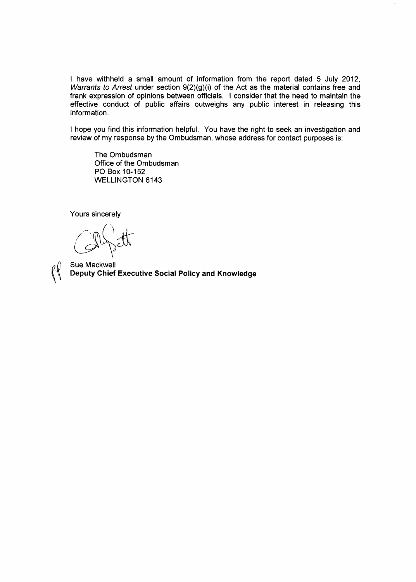I have withheld a small amount of information from the report dated 5 July 2012, Warrants to Arrest under section 9(2)(g)(i) of the Act as the material contains free and frank expression of opinions between officials. I consider that the need to maintain the effective conduct of public affairs outweighs any public interest in releasing this information.

I hope you find this information helpful. You have the right to seek an investigation and review of my response by the Ombudsman, whose address for contact purposes is:

The Ombudsman Office of the Ombudsman PO Box 10-152 WELLINGTON 6143

Yours sincerely



Sue Mackwell **Deputy Chief Executive Social Policy and Knowledge**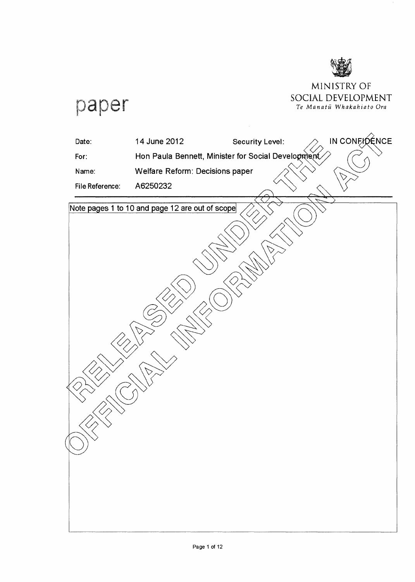

## MINISTRY OF SOCIAL **DEVELOPMENT**  *Te Manatil Whakahiato Ora*

paper

| Date:                    | 14 June 2012                                       | Security Level: | IN CONFIDENCE |
|--------------------------|----------------------------------------------------|-----------------|---------------|
| For:                     | Hon Paula Bennett, Minister for Social Development |                 |               |
| Name:                    | Welfare Reform: Decisions paper                    |                 |               |
| File Reference:          | A6250232                                           |                 |               |
|                          | Note pages 1 to 10 and page 12 are out of scope    |                 |               |
|                          |                                                    |                 |               |
|                          |                                                    |                 |               |
|                          |                                                    |                 |               |
|                          |                                                    |                 |               |
|                          |                                                    |                 |               |
|                          |                                                    |                 |               |
|                          |                                                    |                 |               |
|                          |                                                    |                 |               |
|                          |                                                    |                 |               |
|                          |                                                    |                 |               |
|                          |                                                    |                 |               |
|                          |                                                    |                 |               |
|                          |                                                    |                 |               |
|                          |                                                    |                 |               |
| $\mathbin{\diamondsuit}$ |                                                    |                 |               |
|                          |                                                    |                 |               |
|                          |                                                    |                 |               |
|                          |                                                    |                 |               |
|                          |                                                    |                 |               |
|                          |                                                    |                 |               |
|                          |                                                    |                 |               |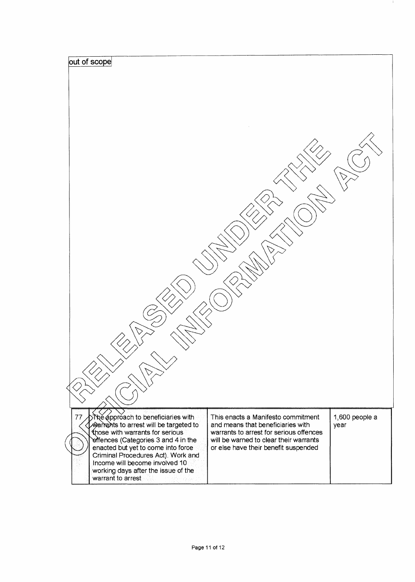| out of scope<br>>ৗ <sup>৸</sup> ্ট্ৰিpproach to beneficiaries with<br>77                                                                                                                                                                                                                   | This enacts a Manifesto commitment                                                                                                                             | 1,600 people a |  |  |
|--------------------------------------------------------------------------------------------------------------------------------------------------------------------------------------------------------------------------------------------------------------------------------------------|----------------------------------------------------------------------------------------------------------------------------------------------------------------|----------------|--|--|
| warrants to arrest will be targeted to<br>those with warrants for serious<br>offences (Categories 3 and 4 in the<br>enacted but yet to come into force<br>Criminal Procedures Act). Work and<br>Income will become involved 10<br>working days after the issue of the<br>warrant to arrest | and means that beneficiaries with<br>warrants to arrest for serious offences<br>will be warned to clear their warrants<br>or else have their benefit suspended | year           |  |  |

 $\mathcal{A}_\mathcal{A}$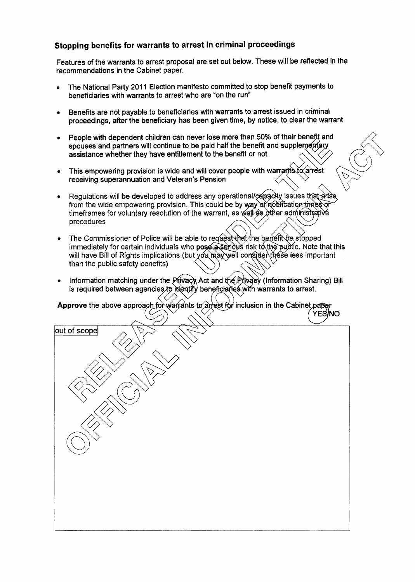## Stopping benefits for warrants to arrest in criminal proceedings

Features of the warrants to arrest proposal are set out below. These will be reflected in the recommendations in the Cabinet paper.

- The National Party 2011 Election manifesto committed to stop benefit payments to beneficiaries with warrants to arrest who are "on the run"
- Benefits are not payable to beneficiaries with warrants to arrest issued in crimina' proceedings, after the beneficiary has been given time, by notice, to clear the warrant
- spouses and partners will continue to be paid half the benefit and suppler procedurigs, and the bencholary has been given and py heave, to sixe. The wantant<br>People with dependent children can never lose more than 50% of their benefit and People with dependent children can never lose more than 50% of their benefit and<br>spouses and partners will continue to be paid half the benefit and supplementary<br>assistance whether they have entitlement to the benefit or n
- This empowering provision is wide and will receiving superannuation and Veteran's Pension  $\frac{1}{2}$  o the benefit or not<br>cover people with warrants to arrest<br>msion
- Regulations will be developed to address any operational/capacky issues that is<br>from the wide empowering provision. This could be by way of a otification times Regulations will **be de**veloped to address any issues that arise timeframes for voluntary resolution of the warrant, as well as other administrative<br>procedures
- The Commissioner of Police will be able to request that the benefit be stopped immediately for certain individuals who  $pos\acute{e}a$  serious risk to the public. Note that this will have Bill of Rights implications (but you may well consider these less important than the public safety benefits)
- Information matching under the  $P$ (ivacy Act and the  $P$  (ivacy (Information Sharing) Bill is required between agencies to identify beneficiaries with warrants to arrest.

Approve the above approach for warrants to arrest for inclusion in the Cabinet paper  $\langle$  YES/NO  $-$ 

| out of scope | 7            |  |
|--------------|--------------|--|
|              |              |  |
|              | $\bigotimes$ |  |
|              |              |  |
|              |              |  |
|              |              |  |
|              |              |  |
|              |              |  |
|              |              |  |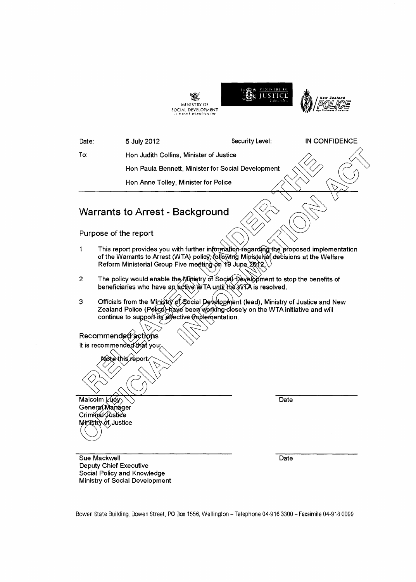|                                                                            | MINISTRY OF<br>SOCIAL DEVELOPMENT<br>ir Marstë Whekehirti Ore                                                                                                                                                                               |                 |               |  |
|----------------------------------------------------------------------------|---------------------------------------------------------------------------------------------------------------------------------------------------------------------------------------------------------------------------------------------|-----------------|---------------|--|
| Date:                                                                      | 5 July 2012                                                                                                                                                                                                                                 | Security Level: | IN CONFIDENCE |  |
| To:                                                                        | Hon Judith Collins, Minister of Justice                                                                                                                                                                                                     |                 |               |  |
|                                                                            | Hon Paula Bennett, Minister for Social Development                                                                                                                                                                                          |                 |               |  |
|                                                                            | Hon Anne Tolley, Minister for Police                                                                                                                                                                                                        |                 |               |  |
|                                                                            | <b>Warrants to Arrest - Background</b><br>Purpose of the report                                                                                                                                                                             |                 |               |  |
| 1                                                                          | This report provides you with further information regarding the proposed implementation<br>of the Warrants to Arrest (WTA) policy, following Ministerial decisions at the Welfare<br>Reform Ministerial Group Five meeting on 19 June 2012. |                 |               |  |
| 2                                                                          | The policy would enable the Ministry of Social Development to stop the benefits of<br>beneficiaries who have an active WTA until the WTA is resolved.                                                                                       |                 |               |  |
| 3                                                                          | Officials from the Ministry of Social Development (lead), Ministry of Justice and New<br>Zealand Police (Police) have been working closely on the WTA initiative and will<br>continue to support its effective (mplementation.              |                 |               |  |
|                                                                            | Recommended actions<br>It is recommended that you;                                                                                                                                                                                          |                 |               |  |
|                                                                            | Nøtèthis report                                                                                                                                                                                                                             |                 |               |  |
| Malcolm Luey<br>General Manager<br>Criminal Justice<br>Ministry of Justice |                                                                                                                                                                                                                                             | Date            |               |  |
| Sue Mackwell                                                               | <b>Deputy Chief Executive</b><br>Social Policy and Knowledge<br>Ministry of Social Development                                                                                                                                              | Date            |               |  |

Bowen State Building, Bowen Street, PO Box 1556, Wellington - Telephone 04-916 3300 - Facsimile 04-918 0099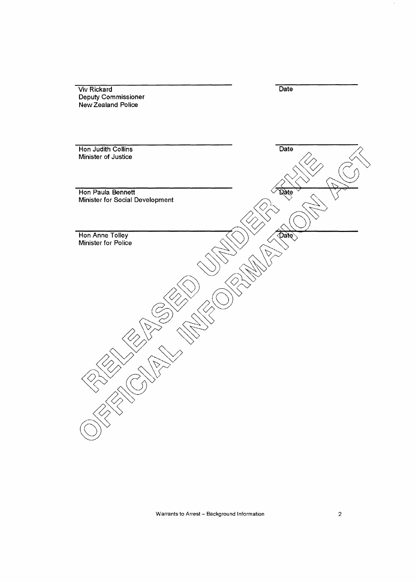| <b>Viv Rickard</b>              | Date        |
|---------------------------------|-------------|
| Deputy Commissioner             |             |
|                                 |             |
| <b>New Zealand Police</b>       |             |
|                                 |             |
|                                 |             |
|                                 |             |
|                                 |             |
|                                 |             |
|                                 |             |
| Hon Judith Collins              | Date        |
| Minister of Justice             |             |
|                                 |             |
|                                 |             |
|                                 |             |
|                                 |             |
|                                 |             |
| Hon Paula Bennett               |             |
|                                 | Qate        |
| Minister for Social Development |             |
|                                 |             |
|                                 |             |
|                                 |             |
|                                 |             |
|                                 |             |
| Hon Anne Tolley                 | <b>Date</b> |
| Minister for Police             |             |
|                                 |             |
|                                 |             |
|                                 |             |
|                                 |             |
|                                 |             |
|                                 |             |
|                                 |             |
|                                 |             |
|                                 |             |
|                                 |             |
|                                 |             |
|                                 |             |
|                                 |             |
|                                 |             |
|                                 |             |
|                                 |             |
|                                 |             |
|                                 |             |
|                                 |             |
|                                 |             |
|                                 |             |
|                                 |             |
|                                 |             |
|                                 |             |
|                                 |             |
|                                 |             |
|                                 |             |
|                                 |             |
|                                 |             |
|                                 |             |
|                                 |             |
|                                 |             |
|                                 |             |
|                                 |             |

Warrants to Arrest - Background Information

 $\langle \rangle$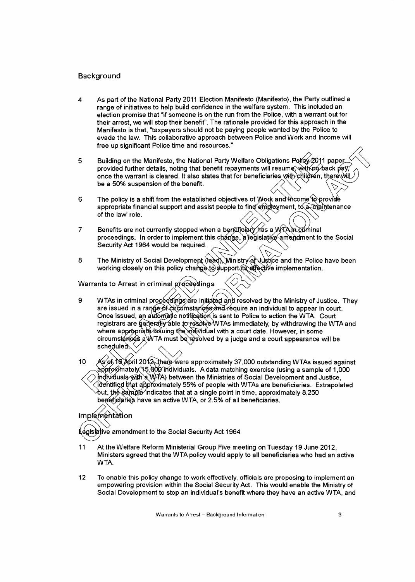## Background

- As part of the National Party 2011 Election Manifesto (Manifesto), the Party outlined a  $\boldsymbol{\Lambda}$ range of initiatives to help build confidence in the welfare system. This included an election promise that "if someone is on the run from the Police, with a warrant out for their arrest, we will stop their benefit". The rationale provided for this approach in the Manifesto is that, "taxpayers should not be paying people wanted by the Police to evade the law. This collaborative approach between Police and Work and Income will free up significant Police time and resources."
- Building on the Manifesto, the National Party Welfare Obligations Policy 2011 paper 5 provided further details, noting that benefit repayments will resume, with no back pay, once the warrant is cleared. It also states that for beneficiaries with children, therewill be a 50% suspension of the benefit.
- The policy is a shift from the established objectives of Work and theome to provide 6 appropriate financial support and assist people to find emphayment, to a maintenance of the law' role.
- Benefits are not currently stopped when a beneticiary has a WTAIn cuminal  $\overline{7}$ proceedings. In order to implement this change, a legislative amendment to the Social Security Act 1964 would be required.
- The Ministry of Social Development (lead), Ministry of Justice and the Police have been 8 working closely on this policy change to support its effective implementation.

Warrants to Arrest in criminal proceedings

WTAs in criminal proceedings are initiated and resolved by the Ministry of Justice. They 9 are issued in a range of circumstances and require an individual to appear in court. Once issued, an automatic notification is sent to Police to action the WTA. Court registrars are generally able to resolve WTAs immediately, by withdrawing the WTA and where appropriate/issuing the individual with a court date. However, in some circumstarces a WTA must be resolved by a judge and a court appearance will be scheduled.

As of 16 April 2012 there were approximately 37,000 outstanding WTAs issued against 10 approximately 15,000 individuals. A data matching exercise (using a sample of 1,000  $\bigcirc$  mdividuals with a W7A) between the Ministries of Social Development and Justice. ોdentified that approximately 55% of people with WTAs are beneficiaries. Extrapolated out, the sample∕indicates that at a single point in time, approximately 8,250 beneficialies have an active WTA, or 2.5% of all beneficiaries.

## Implementation

égisiative amendment to the Social Security Act 1964,

- 11 At the Welfare Reform Ministerial Group Five meeting on Tuesday 19 June 2012. Ministers agreed that the WTA policy would apply to all beneficiaries who had an active WTA.
- $12$ To enable this policy change to work effectively, officials are proposing to implement an empowering provision within the Social Security Act. This would enable the Ministry of Social Development to stop an individual's benefit where they have an active WTA, and

Warrants to Arrest - Background Information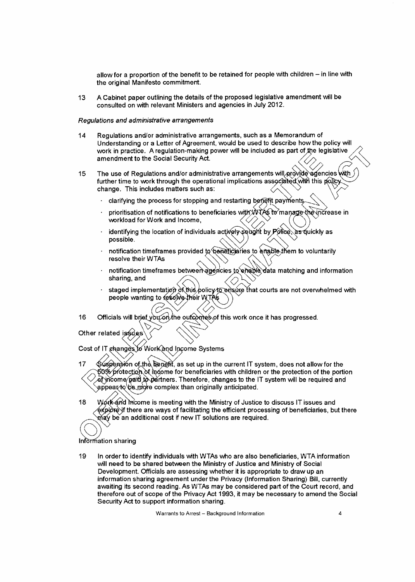allow for a proportion of the benefit to be retained for people with children  $-$  in line with the original Manifesto commitment.

13 A Cabinet paper outlining the details of the proposed legislative amendment will be consulted on with relevant Ministers and agencies in July 2012.

#### Regulations and administrative arrangements

- 14 Regulations and/or administrative arrangements, such as a Memorandum of Understanding or a Letter of Agreement, would be used to describe how the policy will Understanding or a Letter of Agreement, would be used to describe now the policy will<br>work in practice. A regulation-making power will be included as part of the legislative  $\diagup$ work in practice. A regulation-making power will be included as part of the legislative  $\bigtimes$
- 15 The use of Regulations and/or administrative arrangements will provide agencies with  $\bigl/ \bigl/ \bigl/ \bigl/ \bigl/ \bigr.$ further time to work through the operational change. This includes matters such as: mendment to the Social Security Act.<br>
The use of Regulations and/or administrative arrangements will provide agencies with<br>
urther time to work through the operational implications associated with this policy<br>
hange. This
	-
	- prioritisation of notifications to beneficiaries with WTAS to manage the increase in workload for Work and Income,
	- identifying the location of individuals actively sought by  $P\acute{o}$  (de) as quickly as possible. possible.  $\left\langle \left\langle \left\langle \right\rangle \right\rangle \right\rangle \right\rangle \left\langle \left\langle \left\langle \right\rangle \right\rangle \right\rangle$
	- notification timeframes provided to beneficialies to emable them to voluntarily resolve their WTAs
	- notification timeframes between agencies to enable data matching and information sharing, and
	- staged implementation of this policy to ensure that courts are not overwhelmed with people wanting to resolve their WTAs
- 16 Officials will brief you on the outcomes of this work once it has progressed.

Other related is \$ des

Cost of IT changes to Work and Income Systems

17 Suspension of the Denefit, as set up in the current IT system, does not allow for the<br>
2006 protection of income for beneficiaries with children or the protection of the portion ∕ চত্‱ protection of income for beneficiaries with children or the protection of the portion<br>⊘ ar income∕paid io partners. Therefore, changes to the IT system will be required and appear to be more complex than originally anticipated.

18 Work and income is meeting with the Ministry of Justice to discuss IT issues and  $\'{e}$ хр $\acute{\phi}$ r $\acute{\phi}$ yf there are ways of facilitating the efficient processing of beneficiaries, but there  $\hat{\max}$  be an additional cost if new IT solutions are required.

#### Information sharing

19 In order to identify individuals with WTAs who are also beneficiaries, WTA information will need to be shared between the Ministry of Justice and Ministry of Social Development. Officials are assessing whether it is appropriate to draw up an information sharing agreement under the Privacy (Information Sharing) Bill, currently awaiting its second reading. As WTAs may be considered part of the Court record, and therefore out of scope of the Privacy Act 1993, it may be necessary to amend the Social Security Act to support information sharing.

Warrants to Arrest - Background Information 4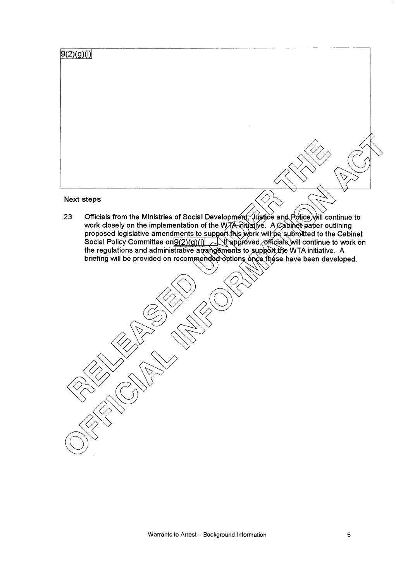| 9(2)(g)(i) |                                                                                                                                                                                                                                                                                                                                                                    |
|------------|--------------------------------------------------------------------------------------------------------------------------------------------------------------------------------------------------------------------------------------------------------------------------------------------------------------------------------------------------------------------|
|            |                                                                                                                                                                                                                                                                                                                                                                    |
|            |                                                                                                                                                                                                                                                                                                                                                                    |
|            |                                                                                                                                                                                                                                                                                                                                                                    |
|            |                                                                                                                                                                                                                                                                                                                                                                    |
|            |                                                                                                                                                                                                                                                                                                                                                                    |
|            |                                                                                                                                                                                                                                                                                                                                                                    |
|            |                                                                                                                                                                                                                                                                                                                                                                    |
|            |                                                                                                                                                                                                                                                                                                                                                                    |
|            |                                                                                                                                                                                                                                                                                                                                                                    |
|            | Next steps                                                                                                                                                                                                                                                                                                                                                         |
| 23         | Officials from the Ministries of Social Development, Justice and Police will continue to<br>work closely on the implementation of the WTA initiative. A Cabinet paper outlining<br>proposed legislative amendments to support this work will be submitted to the Cabinet<br>Social Policy Committee on $9(2)(g)(i)$ Altapproved officials will continue to work on |
|            | the regulations and administrative arrangements to support the WTA initiative. A<br>briefing will be provided on recommended options once these have been developed.                                                                                                                                                                                               |
|            |                                                                                                                                                                                                                                                                                                                                                                    |
|            |                                                                                                                                                                                                                                                                                                                                                                    |
|            |                                                                                                                                                                                                                                                                                                                                                                    |
|            |                                                                                                                                                                                                                                                                                                                                                                    |
|            |                                                                                                                                                                                                                                                                                                                                                                    |
|            |                                                                                                                                                                                                                                                                                                                                                                    |
|            |                                                                                                                                                                                                                                                                                                                                                                    |
|            |                                                                                                                                                                                                                                                                                                                                                                    |
|            |                                                                                                                                                                                                                                                                                                                                                                    |
|            |                                                                                                                                                                                                                                                                                                                                                                    |
|            |                                                                                                                                                                                                                                                                                                                                                                    |
|            |                                                                                                                                                                                                                                                                                                                                                                    |
|            | <b>CONSTRUCTION</b>                                                                                                                                                                                                                                                                                                                                                |

 $\mathcal{A}_{\mathcal{A}}$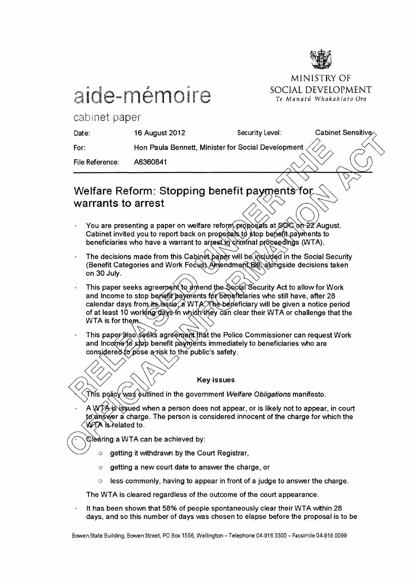

MINISTRY OF

Te Manatū Whakahiato Ora

## aide-mémoire SOCIAL DEVELOPMENT

cabinet paper

| Date:           | 16 August 2012                                                                       | Security Level: | Cabinet Sensitive $\sim$ |
|-----------------|--------------------------------------------------------------------------------------|-----------------|--------------------------|
| For:            | Hon Paula Bennett, Minister for Social Development $\langle \langle \rangle \rangle$ |                 |                          |
| File Reference: | A6360841                                                                             |                 |                          |

## Welfare Reform: Stopping benefit payments fo warrants to arrest

- You are presenting a paper on welfare reform proposals at  $80<$  on  $22$  August. Cabinet invited you to report back on proposals to stop benefit payments to You are presenting a paper on welfare reform proposals at §ØC on 22 Au<br>Cabinet invited you to report back on proposals to stop benefit payments t<br>beneficiaries who have a warrant to arrest in criminal proceedings (WTA).
- The decisions made from this Cabinet paper will be included in the Social Security (Benefit Categories and Work Focus) Amendment Bill abingside decisions taken on 30 July. </
- This paper seeks agreement to amend the Social Security Act to allow for Work and Income to stop benefit payments for beneficiaries who still have, after 28 calendar days from its  $\log a$ . WTA. The begeticiary will be given a notice period of at least 10 working days in which they can clear their WTA or challenge that the WTA is for the
- This paper also seeks agreement that the Police Commissioner can request Work and Income to stop benefit payments immediately to beneficiaries who are considered to pose a risk to the public's safety.

## $\bigotimes_{i=1}^{n}$   $\bigotimes_{i=1}^{n}$  Key issues

 $\hat{r}$  This policy was putlined in the government *Welfare Obligations* manifesto.

A WTA is issued when a person does not appear, or is likely not to appear, in court to answer a charge. The person is considered innocent of the charge for which the W7A is related to.

 $\Im$ earing a WTA can be achieved by:

- $\circ$  getting it withdrawn by the Court Registrar,
- o getting a new court date to answer the charge, or
- $\circ$  less commonly, having to appear in front of a judge to answer the charge.

The WTA is cleared regardless of the outcome of the court appearance.

It has been shown that 58% of people spontaneously clear their WTA within 28 days, and so this number of days was chosen to elapse before the proposal is to be

Bowen State Building, Bowen Street, PO Box 1556, Wellington - Telephone 04-916 3300 - Facsimile 04-918 0099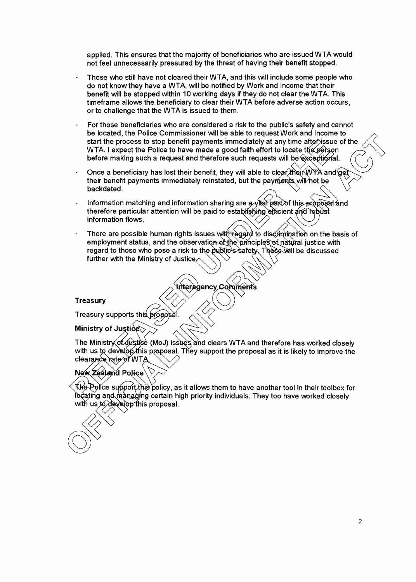applied. This ensures that the majority of beneficiaries who are issued WTA would not feel unnecessarily pressured by the threat of having their benefit stopped.

- Those who still have not cleared their WTA, and this will include some people who do not know they have a WTA, will be notified by Work and Income that their benefit vvill be stopped within 10 working days if they do not clear the WTA. This timeframe allows the beneficiary to clear their WTA before adverse action occurs, or to challenge that the WTA is issued to them.
- For those beneficiaries who are considered a risk to the public's safety and cannot be located, the Police Commissioner will be able to request Work and Income to start the process to stop benefit payments immediately at any time after issue of the WTA. I expect the Police to have made a good faith effort to locate the person before making such a request and therefore such requests will be exceptional.
- Once a beneficiary has lost their benefit, they will able to clear their WTA and get<br>their benefit payments immediately reinstated, but the payments will not be<br>backdated. their benefit payments immediately reinstated, but the payments will not be
- Information matching and information sharing are  $a\sqrt{t}a$  part of this-proposal and information matching and information sharing are a vitar part of this proposa<br>therefore particular attention will be paid to establishing efficient and robust  $\blacksquare$  and  $\blacksquare$  and  $\blacksquare$  and  $\blacksquare$  and  $\blacksquare$  and  $\blacksquare$  and  $\blacksquare$  and  $\blacksquare$  and  $\blacksquare$  and  $\blacksquare$  and  $\blacksquare$  and  $\blacksquare$  and  $\blacksquare$  and  $\blacksquare$  and  $\blacksquare$  and  $\blacksquare$  and  $\blacksquare$  and  $\blacksquare$  and  $\blacksquare$  and  $\blacksquare$  and
- information flows.<br>There are possible human rights issues with regard to discrimination on the basis of employment status, and the observation of the principles of natural justice with employment status, and the observation of the principles of hattaal justice with<br>regard to those who pose a risk to the public's safety. These will be discussed<br>further with the Ministry of Justice

Treasury<br>Treasury supports this proposal.

### Ministry of Justice

The Ministry of Justice (MoJ) issues and clears WTA and therefore has worked closely with us to develop this proposal. They support the proposal as it is likely to improve the clearance rate of WTA

## New Zealand Police

 $(\bigcirc)^\vee$ 

the Police support this policy, as it allows them to have another tool in their toolbox for he a ting and mangling certain high priority individuals. They too have worked closely with us  $t_0$  develop this proposal.

2